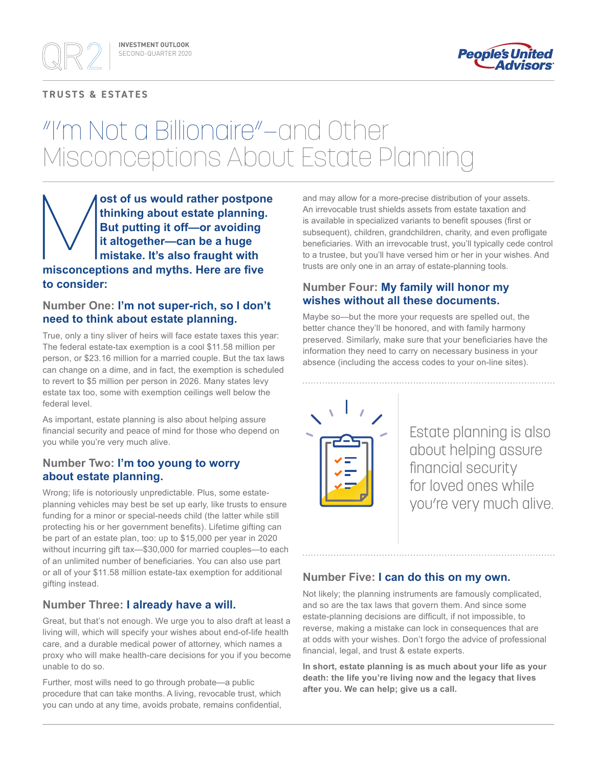### **TRUSTS & ESTATES**



# "I'm Not a Billionaire"—and Other Misconceptions About Estate Planning

**ost of us would rather postpone thinking about estate planning. But putting it off—or avoiding it altogether—can be a huge mistake. It's also fraught with misconceptions and myths. Here are five to consider:**

## **Number One: I'm not super-rich, so I don't need to think about estate planning.**

True, only a tiny sliver of heirs will face estate taxes this year: The federal estate-tax exemption is a cool \$11.58 million per person, or \$23.16 million for a married couple. But the tax laws can change on a dime, and in fact, the exemption is scheduled to revert to \$5 million per person in 2026. Many states levy estate tax too, some with exemption ceilings well below the federal level.

As important, estate planning is also about helping assure financial security and peace of mind for those who depend on you while you're very much alive.

## **Number Two: I'm too young to worry about estate planning.**

Wrong; life is notoriously unpredictable. Plus, some estateplanning vehicles may best be set up early, like trusts to ensure funding for a minor or special-needs child (the latter while still protecting his or her government benefits). Lifetime gifting can be part of an estate plan, too: up to \$15,000 per year in 2020 without incurring gift tax—\$30,000 for married couples—to each of an unlimited number of beneficiaries. You can also use part or all of your \$11.58 million estate-tax exemption for additional gifting instead.

## **Number Three: I already have a will.**

Great, but that's not enough. We urge you to also draft at least a living will, which will specify your wishes about end-of-life health care, and a durable medical power of attorney, which names a proxy who will make health-care decisions for you if you become unable to do so.

Further, most wills need to go through probate—a public procedure that can take months. A living, revocable trust, which you can undo at any time, avoids probate, remains confidential,

and may allow for a more-precise distribution of your assets. An irrevocable trust shields assets from estate taxation and is available in specialized variants to benefit spouses (first or subsequent), children, grandchildren, charity, and even profligate beneficiaries. With an irrevocable trust, you'll typically cede control to a trustee, but you'll have versed him or her in your wishes. And trusts are only one in an array of estate-planning tools.

## **Number Four: My family will honor my wishes without all these documents.**

Maybe so—but the more your requests are spelled out, the better chance they'll be honored, and with family harmony preserved. Similarly, make sure that your beneficiaries have the information they need to carry on necessary business in your absence (including the access codes to your on-line sites).



Estate planning is also about helping assure financial security for loved ones while you're very much alive.

## **Number Five: I can do this on my own.**

Not likely; the planning instruments are famously complicated, and so are the tax laws that govern them. And since some estate-planning decisions are difficult, if not impossible, to reverse, making a mistake can lock in consequences that are at odds with your wishes. Don't forgo the advice of professional financial, legal, and trust & estate experts.

**In short, estate planning is as much about your life as your death: the life you're living now and the legacy that lives after you. We can help; give us a call.**